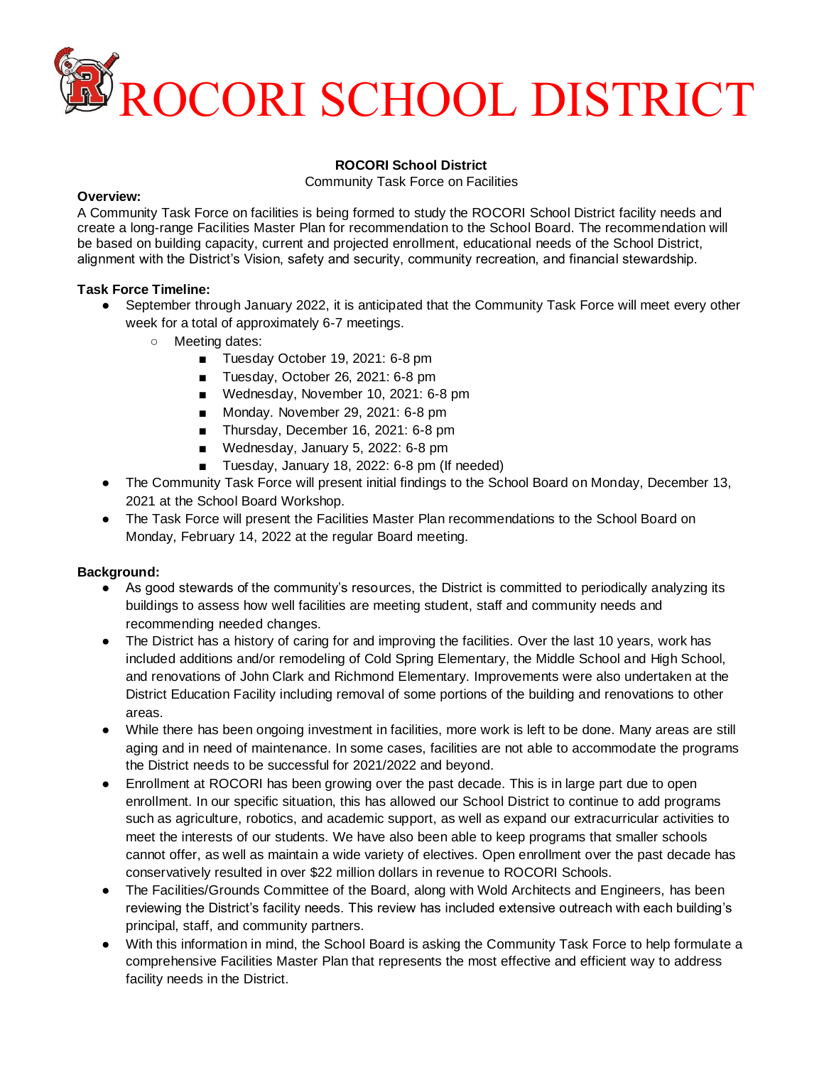

### **ROCORI School District**

Community Task Force on Facilities

#### **Overview:**

A Community Task Force on facilities is being formed to study the ROCORI School District facility needs and create a long-range Facilities Master Plan for recommendation to the School Board. The recommendation will be based on building capacity, current and projected enrollment, educational needs of the School District, alignment with the District's Vision, safety and security, community recreation, and financial stewardship.

# **Task Force Timeline:**

- September through January 2022, it is anticipated that the Community Task Force will meet every other week for a total of approximately 6-7 meetings.
	- Meeting dates:
		- Tuesday October 19, 2021: 6-8 pm
		- Tuesday, October 26, 2021: 6-8 pm
		- Wednesday, November 10, 2021: 6-8 pm
		- Monday. November 29, 2021: 6-8 pm
		- Thursday, December 16, 2021: 6-8 pm
		- Wednesday, January 5, 2022: 6-8 pm
		- Tuesday, January 18, 2022: 6-8 pm (If needed)
- The Community Task Force will present initial findings to the School Board on Monday, December 13, 2021 at the School Board Workshop.
- The Task Force will present the Facilities Master Plan recommendations to the School Board on Monday, February 14, 2022 at the regular Board meeting.

# **Background:**

- As good stewards of the community's resources, the District is committed to periodically analyzing its buildings to assess how well facilities are meeting student, staff and community needs and recommending needed changes.
- The District has a history of caring for and improving the facilities. Over the last 10 years, work has included additions and/or remodeling of Cold Spring Elementary, the Middle School and High School, and renovations of John Clark and Richmond Elementary. Improvements were also undertaken at the District Education Facility including removal of some portions of the building and renovations to other areas.
- While there has been ongoing investment in facilities, more work is left to be done. Many areas are still aging and in need of maintenance. In some cases, facilities are not able to accommodate the programs the District needs to be successful for 2021/2022 and beyond.
- Enrollment at ROCORI has been growing over the past decade. This is in large part due to open enrollment. In our specific situation, this has allowed our School District to continue to add programs such as agriculture, robotics, and academic support, as well as expand our extracurricular activities to meet the interests of our students. We have also been able to keep programs that smaller schools cannot offer, as well as maintain a wide variety of electives. Open enrollment over the past decade has conservatively resulted in over \$22 million dollars in revenue to ROCORI Schools.
- The Facilities/Grounds Committee of the Board, along with Wold Architects and Engineers, has been reviewing the District's facility needs. This review has included extensive outreach with each building's principal, staff, and community partners.
- With this information in mind, the School Board is asking the Community Task Force to help formulate a comprehensive Facilities Master Plan that represents the most effective and efficient way to address facility needs in the District.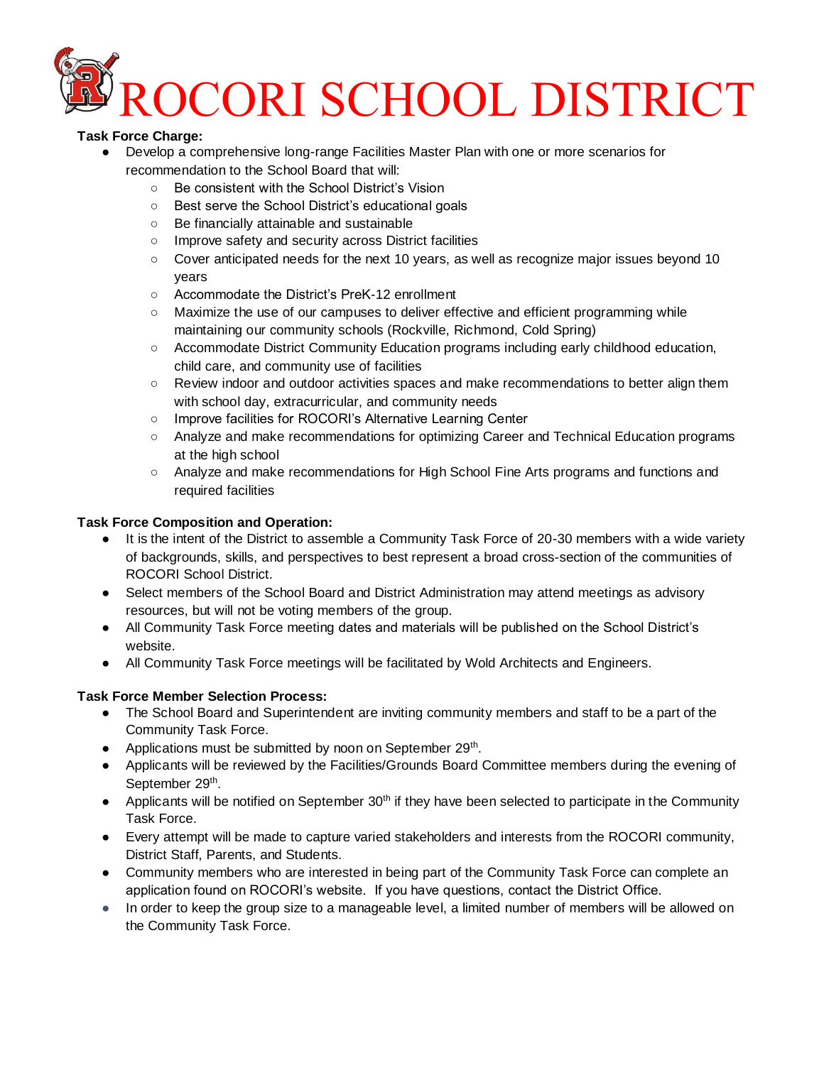

# **Task Force Charge:**

- Develop a comprehensive long-range Facilities Master Plan with one or more scenarios for recommendation to the School Board that will:
	- Be consistent with the School District's Vision
	- Best serve the School District's educational goals
	- Be financially attainable and sustainable
	- Improve safety and security across District facilities
	- Cover anticipated needs for the next 10 years, as well as recognize major issues beyond 10 years
	- Accommodate the District's PreK-12 enrollment
	- Maximize the use of our campuses to deliver effective and efficient programming while maintaining our community schools (Rockville, Richmond, Cold Spring)
	- Accommodate District Community Education programs including early childhood education, child care, and community use of facilities
	- Review indoor and outdoor activities spaces and make recommendations to better align them with school day, extracurricular, and community needs
	- Improve facilities for ROCORI's Alternative Learning Center
	- Analyze and make recommendations for optimizing Career and Technical Education programs at the high school
	- Analyze and make recommendations for High School Fine Arts programs and functions and required facilities

### **Task Force Composition and Operation:**

- It is the intent of the District to assemble a Community Task Force of 20-30 members with a wide variety of backgrounds, skills, and perspectives to best represent a broad cross-section of the communities of ROCORI School District.
- Select members of the School Board and District Administration may attend meetings as advisory resources, but will not be voting members of the group.
- All Community Task Force meeting dates and materials will be published on the School District's website.
- All Community Task Force meetings will be facilitated by Wold Architects and Engineers.

# **Task Force Member Selection Process:**

- The School Board and Superintendent are inviting community members and staff to be a part of the Community Task Force.
- Applications must be submitted by noon on September 29<sup>th</sup>.
- Applicants will be reviewed by the Facilities/Grounds Board Committee members during the evening of September 29<sup>th</sup>.
- Applicants will be notified on September 30<sup>th</sup> if they have been selected to participate in the Community Task Force.
- Every attempt will be made to capture varied stakeholders and interests from the ROCORI community, District Staff, Parents, and Students.
- Community members who are interested in being part of the Community Task Force can complete an application found on ROCORI's website. If you have questions, contact the District Office.
- In order to keep the group size to a manageable level, a limited number of members will be allowed on the Community Task Force.